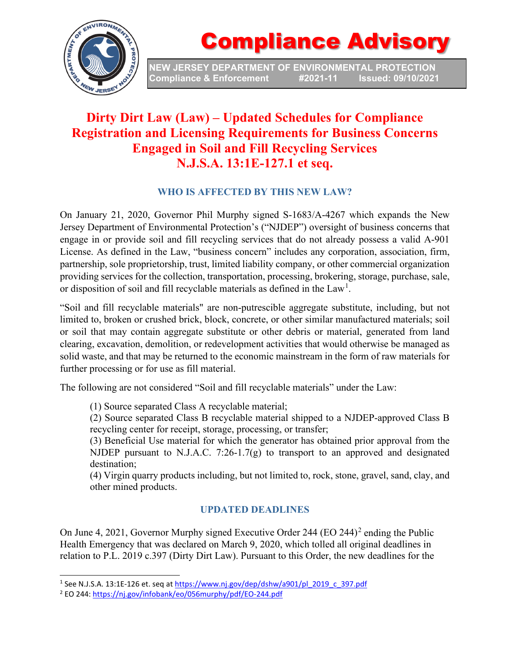

# Compliance Advisory

**NEW JERSEY DEPARTMENT OF ENVIRONMENTAL PROTECTION Compliance & Enforcement** 

### **Dirty Dirt Law (Law) – Updated Schedules for Compliance Registration and Licensing Requirements for Business Concerns Engaged in Soil and Fill Recycling Services N.J.S.A. 13:1E-127.1 et seq.**

#### **WHO IS AFFECTED BY THIS NEW LAW?**

On January 21, 2020, Governor Phil Murphy signed S-1683/A-4267 which expands the New Jersey Department of Environmental Protection's ("NJDEP") oversight of business concerns that engage in or provide soil and fill recycling services that do not already possess a valid A-901 License. As defined in the Law, "business concern" includes any corporation, association, firm, partnership, sole proprietorship, trust, limited liability company, or other commercial organization providing services for the collection, transportation, processing, brokering, storage, purchase, sale, or disposition of soil and fill recyclable materials as defined in the  $Law<sup>1</sup>$  $Law<sup>1</sup>$  $Law<sup>1</sup>$ .

"Soil and fill recyclable materials" are non-putrescible aggregate substitute, including, but not limited to, broken or crushed brick, block, concrete, or other similar manufactured materials; soil or soil that may contain aggregate substitute or other debris or material, generated from land clearing, excavation, demolition, or redevelopment activities that would otherwise be managed as solid waste, and that may be returned to the economic mainstream in the form of raw materials for further processing or for use as fill material.

The following are not considered "Soil and fill recyclable materials" under the Law:

(1) Source separated Class A recyclable material;

(2) Source separated Class B recyclable material shipped to a NJDEP-approved Class B recycling center for receipt, storage, processing, or transfer;

(3) Beneficial Use material for which the generator has obtained prior approval from the NJDEP pursuant to N.J.A.C. 7:26-1.7(g) to transport to an approved and designated destination;

(4) Virgin quarry products including, but not limited to, rock, stone, gravel, sand, clay, and other mined products.

#### **UPDATED DEADLINES**

On June 4, [2](#page-0-1)021, Governor Murphy signed Executive Order 244 (EO 244)<sup>2</sup> ending the Public Health Emergency that was declared on March 9, 2020, which tolled all original deadlines in relation to P.L. 2019 c.397 (Dirty Dirt Law). Pursuant to this Order, the new deadlines for the

<span id="page-0-0"></span><sup>&</sup>lt;sup>1</sup> See N.J.S.A. 13:1E-126 et. seq at [https://www.nj.gov/dep/dshw/a901/pl\\_2019\\_c\\_397.pdf](https://www.nj.gov/dep/dshw/a901/pl_2019_c_397.pdf) <sup>2</sup> EO 244[: https://nj.gov/infobank/eo/056murphy/pdf/EO-244.pdf](https://nj.gov/infobank/eo/056murphy/pdf/EO-244.pdf)

<span id="page-0-1"></span>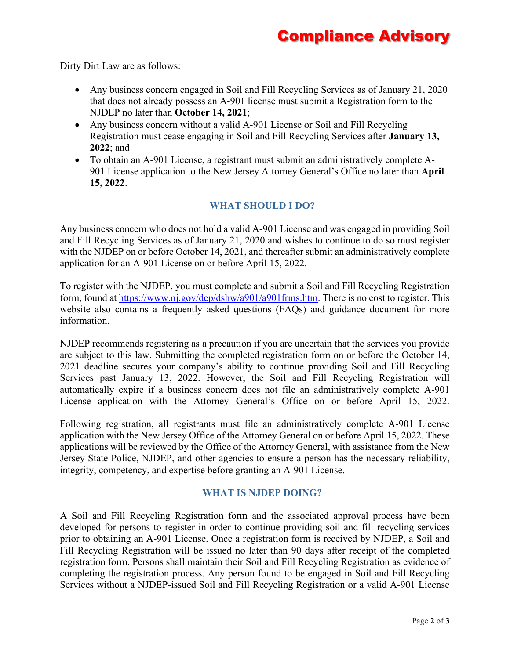## Compliance Advisory

Dirty Dirt Law are as follows:

- Any business concern engaged in Soil and Fill Recycling Services as of January 21, 2020 that does not already possess an A-901 license must submit a Registration form to the NJDEP no later than **October 14, 2021**;
- Any business concern without a valid A-901 License or Soil and Fill Recycling Registration must cease engaging in Soil and Fill Recycling Services after **January 13, 2022**; and
- To obtain an A-901 License, a registrant must submit an administratively complete A-901 License application to the New Jersey Attorney General's Office no later than **April 15, 2022**.

#### **WHAT SHOULD I DO?**

Any business concern who does not hold a valid A-901 License and was engaged in providing Soil and Fill Recycling Services as of January 21, 2020 and wishes to continue to do so must register with the NJDEP on or before October 14, 2021, and thereafter submit an administratively complete application for an A-901 License on or before April 15, 2022.

To register with the NJDEP, you must complete and submit a Soil and Fill Recycling Registration form, found at [https://www.nj.gov/dep/dshw/a901/a901frms.htm.](https://www.nj.gov/dep/dshw/a901/a901frms.htm) There is no cost to register. This website also contains a frequently asked questions (FAQs) and guidance document for more information.

NJDEP recommends registering as a precaution if you are uncertain that the services you provide are subject to this law. Submitting the completed registration form on or before the October 14, 2021 deadline secures your company's ability to continue providing Soil and Fill Recycling Services past January 13, 2022. However, the Soil and Fill Recycling Registration will automatically expire if a business concern does not file an administratively complete A-901 License application with the Attorney General's Office on or before April 15, 2022.

Following registration, all registrants must file an administratively complete A-901 License application with the New Jersey Office of the Attorney General on or before April 15, 2022. These applications will be reviewed by the Office of the Attorney General, with assistance from the New Jersey State Police, NJDEP, and other agencies to ensure a person has the necessary reliability, integrity, competency, and expertise before granting an A-901 License.

#### **WHAT IS NJDEP DOING?**

A Soil and Fill Recycling Registration form and the associated approval process have been developed for persons to register in order to continue providing soil and fill recycling services prior to obtaining an A-901 License. Once a registration form is received by NJDEP, a Soil and Fill Recycling Registration will be issued no later than 90 days after receipt of the completed registration form. Persons shall maintain their Soil and Fill Recycling Registration as evidence of completing the registration process. Any person found to be engaged in Soil and Fill Recycling Services without a NJDEP-issued Soil and Fill Recycling Registration or a valid A-901 License